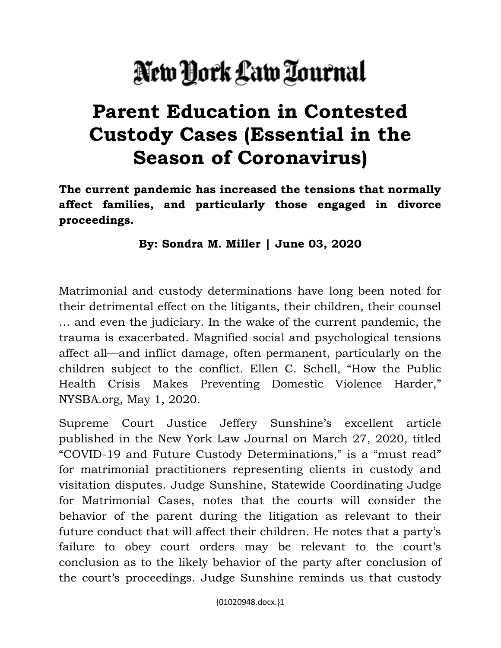## New Dork Law Tournal

## **Parent Education in Contested Custody Cases (Essential in the Season of Coronavirus)**

**The current pandemic has increased the tensions that normally affect families, and particularly those engaged in divorce proceedings.** 

**By: Sondra M. Miller | June 03, 2020**

Matrimonial and custody determinations have long been noted for their detrimental effect on the litigants, their children, their counsel … and even the judiciary. In the wake of the current pandemic, the trauma is exacerbated. Magnified social and psychological tensions affect all—and inflict damage, often permanent, particularly on the children subject to the conflict. Ellen C. Schell, "How the Public Health Crisis Makes Preventing Domestic Violence Harder," NYSBA.org, May 1, 2020.

Supreme Court Justice Jeffery Sunshine's excellent article published in the New York Law Journal on March 27, 2020, titled "COVID-19 and Future Custody Determinations," is a "must read" for matrimonial practitioners representing clients in custody and visitation disputes. Judge Sunshine, Statewide Coordinating Judge for Matrimonial Cases, notes that the courts will consider the behavior of the parent during the litigation as relevant to their future conduct that will affect their children. He notes that a party's failure to obey court orders may be relevant to the court's conclusion as to the likely behavior of the party after conclusion of the court's proceedings. Judge Sunshine reminds us that custody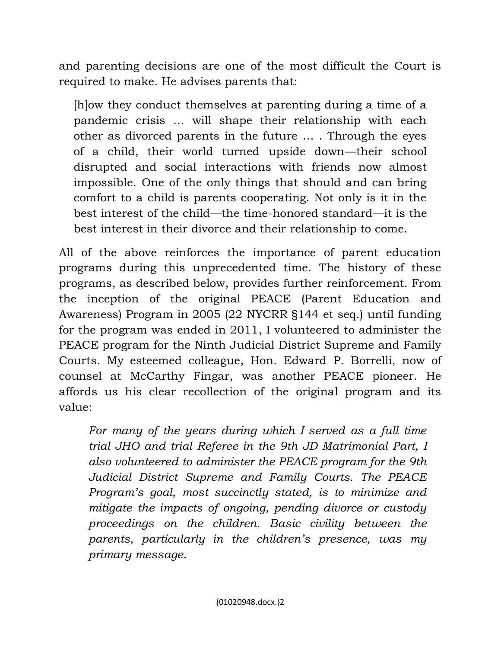and parenting decisions are one of the most difficult the Court is required to make. He advises parents that:

[h]ow they conduct themselves at parenting during a time of a pandemic crisis … will shape their relationship with each other as divorced parents in the future … . Through the eyes of a child, their world turned upside down—their school disrupted and social interactions with friends now almost impossible. One of the only things that should and can bring comfort to a child is parents cooperating. Not only is it in the best interest of the child—the time-honored standard—it is the best interest in their divorce and their relationship to come.

All of the above reinforces the importance of parent education programs during this unprecedented time. The history of these programs, as described below, provides further reinforcement. From the inception of the original PEACE (Parent Education and Awareness) Program in 2005 (22 NYCRR §144 et seq.) until funding for the program was ended in 2011, I volunteered to administer the PEACE program for the Ninth Judicial District Supreme and Family Courts. My esteemed colleague, Hon. Edward P. Borrelli, now of counsel at McCarthy Fingar, was another PEACE pioneer. He affords us his clear recollection of the original program and its value:

*For many of the years during which I served as a full time trial JHO and trial Referee in the 9th JD Matrimonial Part, I also volunteered to administer the PEACE program for the 9th Judicial District Supreme and Family Courts. The PEACE Program's goal, most succinctly stated, is to minimize and mitigate the impacts of ongoing, pending divorce or custody proceedings on the children. Basic civility between the parents, particularly in the children's presence, was my primary message.*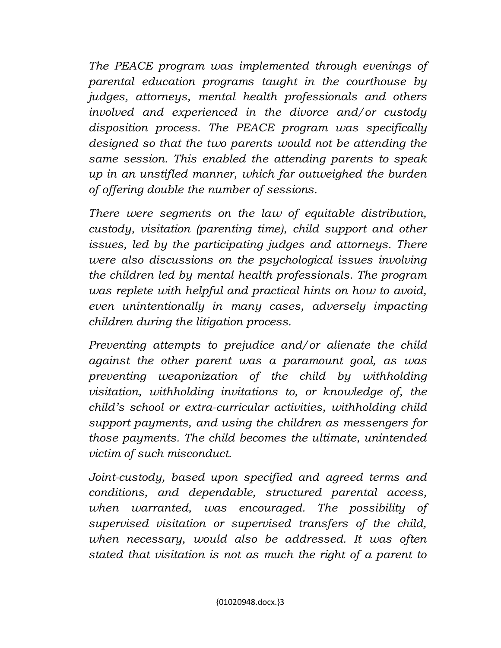*The PEACE program was implemented through evenings of parental education programs taught in the courthouse by judges, attorneys, mental health professionals and others involved and experienced in the divorce and/or custody disposition process. The PEACE program was specifically designed so that the two parents would not be attending the same session. This enabled the attending parents to speak up in an unstifled manner, which far outweighed the burden of offering double the number of sessions.*

*There were segments on the law of equitable distribution, custody, visitation (parenting time), child support and other issues, led by the participating judges and attorneys. There were also discussions on the psychological issues involving the children led by mental health professionals. The program was replete with helpful and practical hints on how to avoid, even unintentionally in many cases, adversely impacting children during the litigation process.*

*Preventing attempts to prejudice and/or alienate the child against the other parent was a paramount goal, as was preventing weaponization of the child by withholding visitation, withholding invitations to, or knowledge of, the child's school or extra-curricular activities, withholding child support payments, and using the children as messengers for those payments. The child becomes the ultimate, unintended victim of such misconduct.*

*Joint-custody, based upon specified and agreed terms and conditions, and dependable, structured parental access, when warranted, was encouraged. The possibility of supervised visitation or supervised transfers of the child, when necessary, would also be addressed. It was often stated that visitation is not as much the right of a parent to*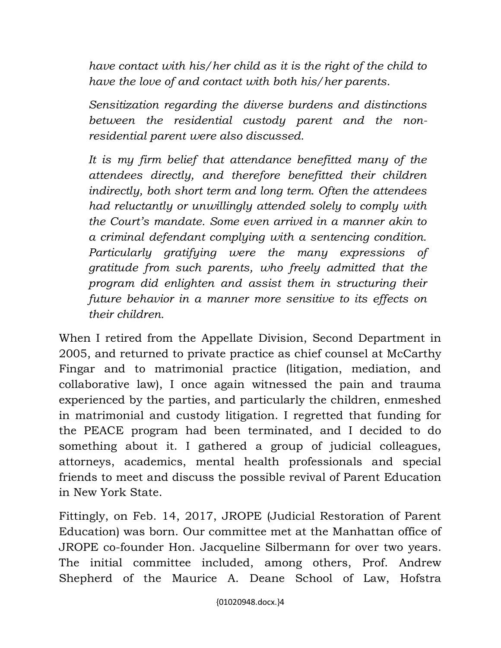*have contact with his/her child as it is the right of the child to have the love of and contact with both his/her parents.*

*Sensitization regarding the diverse burdens and distinctions between the residential custody parent and the nonresidential parent were also discussed.*

*It is my firm belief that attendance benefitted many of the attendees directly, and therefore benefitted their children indirectly, both short term and long term. Often the attendees had reluctantly or unwillingly attended solely to comply with the Court's mandate. Some even arrived in a manner akin to a criminal defendant complying with a sentencing condition. Particularly gratifying were the many expressions of gratitude from such parents, who freely admitted that the program did enlighten and assist them in structuring their future behavior in a manner more sensitive to its effects on their children.*

When I retired from the Appellate Division, Second Department in 2005, and returned to private practice as chief counsel at McCarthy Fingar and to matrimonial practice (litigation, mediation, and collaborative law), I once again witnessed the pain and trauma experienced by the parties, and particularly the children, enmeshed in matrimonial and custody litigation. I regretted that funding for the PEACE program had been terminated, and I decided to do something about it. I gathered a group of judicial colleagues, attorneys, academics, mental health professionals and special friends to meet and discuss the possible revival of Parent Education in New York State.

Fittingly, on Feb. 14, 2017, JROPE (Judicial Restoration of Parent Education) was born. Our committee met at the Manhattan office of JROPE co-founder Hon. Jacqueline Silbermann for over two years. The initial committee included, among others, Prof. Andrew Shepherd of the Maurice A. Deane School of Law, Hofstra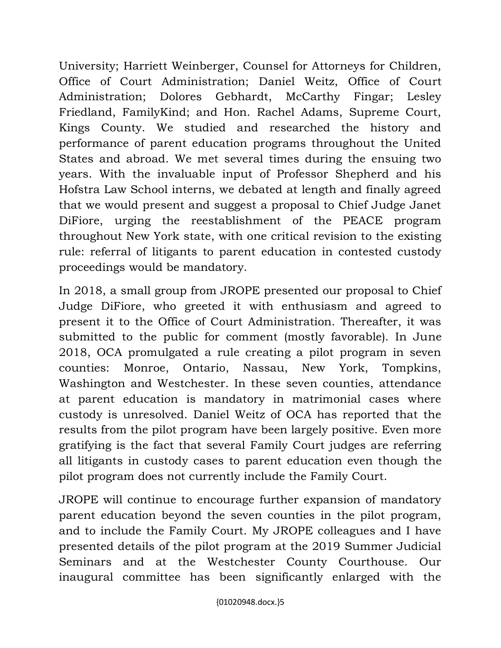University; Harriett Weinberger, Counsel for Attorneys for Children, Office of Court Administration; Daniel Weitz, Office of Court Administration; Dolores Gebhardt, McCarthy Fingar; Lesley Friedland, FamilyKind; and Hon. Rachel Adams, Supreme Court, Kings County. We studied and researched the history and performance of parent education programs throughout the United States and abroad. We met several times during the ensuing two years. With the invaluable input of Professor Shepherd and his Hofstra Law School interns, we debated at length and finally agreed that we would present and suggest a proposal to Chief Judge Janet DiFiore, urging the reestablishment of the PEACE program throughout New York state, with one critical revision to the existing rule: referral of litigants to parent education in contested custody proceedings would be mandatory.

In 2018, a small group from JROPE presented our proposal to Chief Judge DiFiore, who greeted it with enthusiasm and agreed to present it to the Office of Court Administration. Thereafter, it was submitted to the public for comment (mostly favorable). In June 2018, OCA promulgated a rule creating a pilot program in seven counties: Monroe, Ontario, Nassau, New York, Tompkins, Washington and Westchester. In these seven counties, attendance at parent education is mandatory in matrimonial cases where custody is unresolved. Daniel Weitz of OCA has reported that the results from the pilot program have been largely positive. Even more gratifying is the fact that several Family Court judges are referring all litigants in custody cases to parent education even though the pilot program does not currently include the Family Court.

JROPE will continue to encourage further expansion of mandatory parent education beyond the seven counties in the pilot program, and to include the Family Court. My JROPE colleagues and I have presented details of the pilot program at the 2019 Summer Judicial Seminars and at the Westchester County Courthouse. Our inaugural committee has been significantly enlarged with the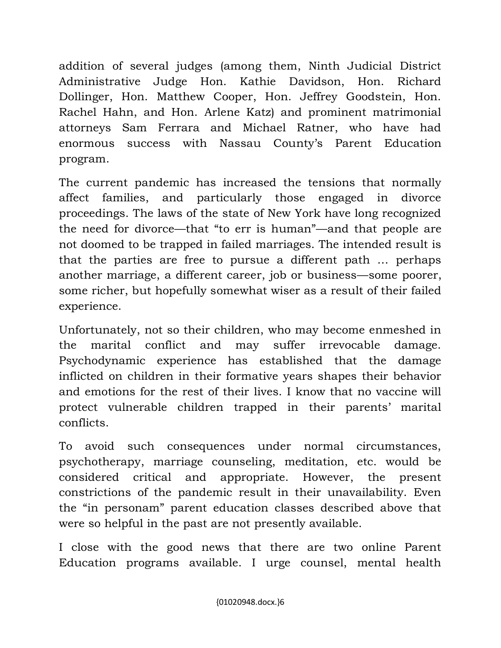addition of several judges (among them, Ninth Judicial District Administrative Judge Hon. Kathie Davidson, Hon. Richard Dollinger, Hon. Matthew Cooper, Hon. Jeffrey Goodstein, Hon. Rachel Hahn, and Hon. Arlene Katz) and prominent matrimonial attorneys Sam Ferrara and Michael Ratner, who have had enormous success with Nassau County's Parent Education program.

The current pandemic has increased the tensions that normally affect families, and particularly those engaged in divorce proceedings. The laws of the state of New York have long recognized the need for divorce—that "to err is human"—and that people are not doomed to be trapped in failed marriages. The intended result is that the parties are free to pursue a different path … perhaps another marriage, a different career, job or business—some poorer, some richer, but hopefully somewhat wiser as a result of their failed experience.

Unfortunately, not so their children, who may become enmeshed in the marital conflict and may suffer irrevocable damage. Psychodynamic experience has established that the damage inflicted on children in their formative years shapes their behavior and emotions for the rest of their lives. I know that no vaccine will protect vulnerable children trapped in their parents' marital conflicts.

To avoid such consequences under normal circumstances, psychotherapy, marriage counseling, meditation, etc. would be considered critical and appropriate. However, the present constrictions of the pandemic result in their unavailability. Even the "in personam" parent education classes described above that were so helpful in the past are not presently available.

I close with the good news that there are two online Parent Education programs available. I urge counsel, mental health